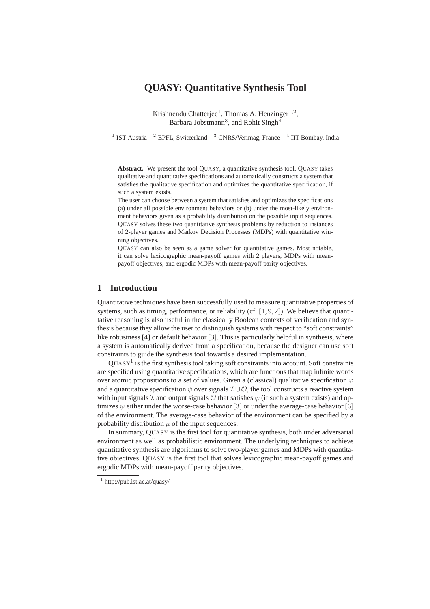# **QUASY: Quantitative Synthesis Tool**

Krishnendu Chatterjee<sup>1</sup>, Thomas A. Henzinger<sup>1,2</sup>, Barbara Jobstmann<sup>3</sup>, and Rohit Singh<sup>4</sup>

<sup>1</sup> IST Austria <sup>2</sup> EPFL, Switzerland <sup>3</sup> CNRS/Verimag, France <sup>4</sup> IIT Bombay, India

Abstract. We present the tool QUASY, a quantitative synthesis tool. QUASY takes qualitative and quantitative specifications and automatically constructs a system that satisfies the qualitative specification and optimizes the quantitative specification, if such a system exists.

The user can choose between a system that satisfies and optimizes the specifications (a) under all possible environment behaviors or (b) under the most-likely environment behaviors given as a probability distribution on the possible input sequences. QUASY solves these two quantitative synthesis problems by reduction to instances of 2-player games and Markov Decision Processes (MDPs) with quantitative winning objectives.

QUASY can also be seen as a game solver for quantitative games. Most notable, it can solve lexicographic mean-payoff games with 2 players, MDPs with meanpayoff objectives, and ergodic MDPs with mean-payoff parity objectives.

## **1 Introduction**

Quantitative techniques have been successfully used to measure quantitative properties of systems, such as timing, performance, or reliability (cf. [1, 9, 2]). We believe that quantitative reasoning is also useful in the classically Boolean contexts of verification and synthesis because they allow the user to distinguish systems with respect to "soft constraints" like robustness [4] or default behavior [3]. This is particularly helpful in synthesis, where a system is automatically derived from a specification, because the designer can use soft constraints to guide the synthesis tool towards a desired implementation.

 $\text{Quasy}^1$  is the first synthesis tool taking soft constraints into account. Soft constraints are specified using quantitative specifications, which are functions that map infinite words over atomic propositions to a set of values. Given a (classical) qualitative specification  $\varphi$ and a quantitative specification  $\psi$  over signals  $\mathcal{I} \cup \mathcal{O}$ , the tool constructs a reactive system with input signals I and output signals  $\mathcal O$  that satisfies  $\varphi$  (if such a system exists) and optimizes  $\psi$  either under the worse-case behavior [3] or under the average-case behavior [6] of the environment. The average-case behavior of the environment can be specified by a probability distribution  $\mu$  of the input sequences.

In summary, QUASY is the first tool for quantitative synthesis, both under adversarial environment as well as probabilistic environment. The underlying techniques to achieve quantitative synthesis are algorithms to solve two-player games and MDPs with quantitative objectives. QUASY is the first tool that solves lexicographic mean-payoff games and ergodic MDPs with mean-payoff parity objectives.

<sup>1</sup> http://pub.ist.ac.at/quasy/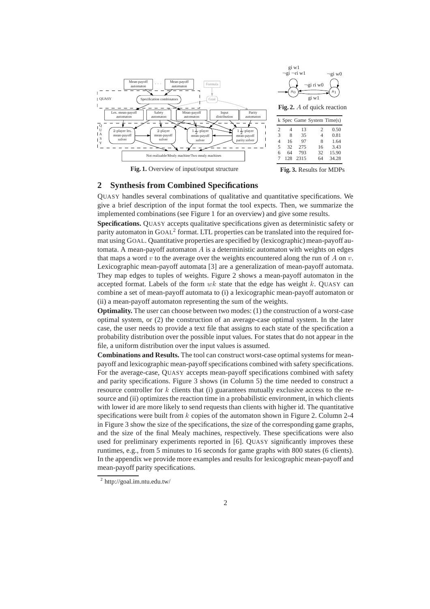

**Fig. 1.** Overview of input/output structure

**Fig. 3.** Results for MDPs

## **2 Synthesis from Combined Specifications**

QUASY handles several combinations of qualitative and quantitative specifications. We give a brief description of the input format the tool expects. Then, we summarize the implemented combinations (see Figure 1 for an overview) and give some results.

**Specifications.** QUASY accepts qualitative specifications given as deterministic safety or parity automaton in GOAL<sup>2</sup> format. LTL properties can be translated into the required format using GOAL. Quantitative properties are specified by (lexicographic) mean-payoff automata. A mean-payoff automaton  $\vec{A}$  is a deterministic automaton with weights on edges that maps a word v to the average over the weights encountered along the run of A on v. Lexicographic mean-payoff automata [3] are a generalization of mean-payoff automata. They map edges to tuples of weights. Figure 2 shows a mean-payoff automaton in the accepted format. Labels of the form  $wk$  state that the edge has weight k. QUASY can combine a set of mean-payoff automata to (i) a lexicographic mean-payoff automaton or (ii) a mean-payoff automaton representing the sum of the weights.

**Optimality.** The user can choose between two modes: (1) the construction of a worst-case optimal system, or (2) the construction of an average-case optimal system. In the later case, the user needs to provide a text file that assigns to each state of the specification a probability distribution over the possible input values. For states that do not appear in the file, a uniform distribution over the input values is assumed.

**Combinations and Results.** The tool can construct worst-case optimal systems for meanpayoff and lexicographic mean-payoff specifications combined with safety specifications. For the average-case, QUASY accepts mean-payoff specifications combined with safety and parity specifications. Figure 3 shows (in Column 5) the time needed to construct a resource controller for  $k$  clients that (i) guarantees mutually exclusive access to the resource and (ii) optimizes the reaction time in a probabilistic environment, in which clients with lower id are more likely to send requests than clients with higher id. The quantitative specifications were built from  $k$  copies of the automaton shown in Figure 2. Column 2-4 in Figure 3 show the size of the specifications, the size of the corresponding game graphs, and the size of the final Mealy machines, respectively. These specifications were also used for preliminary experiments reported in [6]. QUASY significantly improves these runtimes, e.g., from 5 minutes to 16 seconds for game graphs with 800 states (6 clients). In the appendix we provide more examples and results for lexicographic mean-payoff and mean-payoff parity specifications.

<sup>2</sup> http://goal.im.ntu.edu.tw/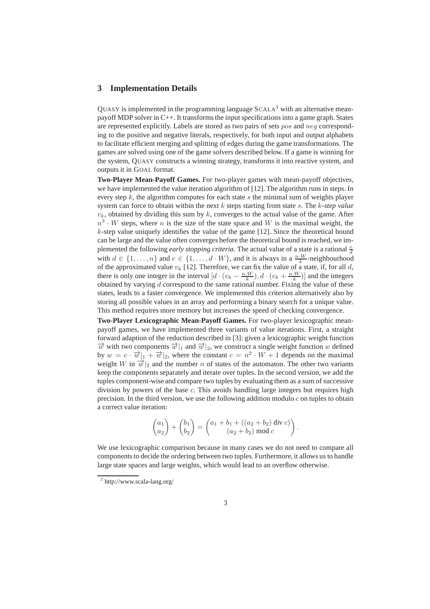## **3 Implementation Details**

OUASY is implemented in the programming language  $SCALA<sup>3</sup>$  with an alternative meanpayoff MDP solver in C++. It transforms the input specifications into a game graph. States are represented explicitly. Labels are stored as two pairs of sets pos and neg corresponding to the positive and negative literals, respectively, for both input and output alphabets to facilitate efficient merging and splitting of edges during the game transformations. The games are solved using one of the game solvers described below. If a game is winning for the system, QUASY constructs a winning strategy, transforms it into reactive system, and outputs it in GOAL format.

**Two-Player Mean-Payoff Games.** For two-player games with mean-payoff objectives, we have implemented the value iteration algorithm of [12]. The algorithm runs in steps. In every step  $k$ , the algorithm computes for each state s the minimal sum of weights player system can force to obtain within the next k steps starting from state s. The k*-step value*  $v_k$ , obtained by dividing this sum by k, converges to the actual value of the game. After  $n^3 \cdot W$  steps, where n is the size of the state space and W is the maximal weight, the  $k$ -step value uniquely identifies the value of the game  $[12]$ . Since the theoretical bound can be large and the value often converges before the theoretical bound is reached, we implemented the following *early stopping criteria*. The actual value of a state is a rational  $\frac{e}{d}$ with  $d \in \{1, \ldots, n\}$  and  $e \in \{1, \ldots, d \cdot W\}$ , and it is always in a  $\frac{n \cdot W}{k}$ -neighbourhood of the approximated value  $v_k$  [12]. Therefore, we can fix the value of a state, if, for all d, there is only one integer in the interval  $[d \cdot (v_k - \frac{n \cdot W}{k}), d \cdot (v_k + \frac{n \cdot W}{k})]$  and the integers obtained by varying  $d$  correspond to the same rational number. Fixing the value of these states, leads to a faster convergence. We implemented this criterion alternatively also by storing all possible values in an array and performing a binary search for a unique value. This method requires more memory but increases the speed of checking convergence.

**Two-Player Lexicographic Mean-Payoff Games.** For two-player lexicographic meanpayoff games, we have implemented three variants of value iterations. First, a straight forward adaption of the reduction described in [3]: given a lexicographic weight function  $\vec{w}$  with two components  $\vec{w}|_1$  and  $\vec{w}|_2$ , we construct a single weight function w defined by  $w = c \cdot \overrightarrow{w}|_1 + \overrightarrow{w}|_2$ , where the constant  $c = n^2 \cdot W + 1$  depends on the maximal weight W in  $\vec{w}|_2$  and the number n of states of the automaton. The other two variants keep the components separately and iterate over tuples. In the second version, we add the tuples component-wise and compare two tuples by evaluating them as a sum of successive division by powers of the base  $c$ . This avoids handling large integers but requires high precision. In the third version, we use the following addition modulo  $c$  on tuples to obtain a correct value iteration:

$$
\begin{pmatrix} a_1 \\ a_2 \end{pmatrix} + \begin{pmatrix} b_1 \\ b_2 \end{pmatrix} = \begin{pmatrix} a_1 + b_1 + ((a_2 + b_2) \text{ div } c) \\ (a_2 + b_2) \text{ mod } c \end{pmatrix}.
$$

We use lexicographic comparison because in many cases we do not need to compare all components to decide the ordering between two tuples. Furthermore, it allows us to handle large state spaces and large weights, which would lead to an overflow otherwise.

<sup>3</sup> http://www.scala-lang.org/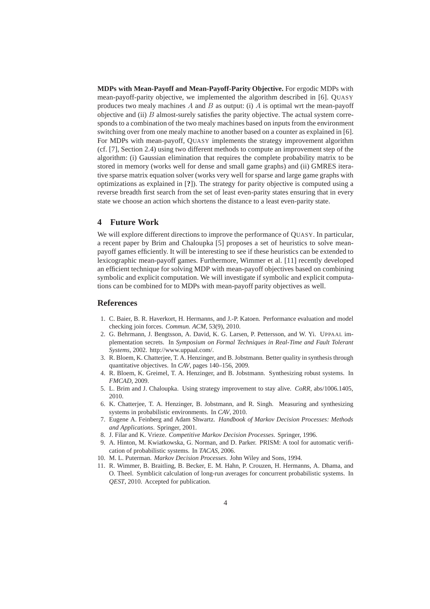**MDPs with Mean-Payoff and Mean-Payoff-Parity Objective.** For ergodic MDPs with mean-payoff-parity objective, we implemented the algorithm described in [6]. QUASY produces two mealy machines  $A$  and  $B$  as output: (i)  $A$  is optimal wrt the mean-payoff objective and (ii)  $B$  almost-surely satisfies the parity objective. The actual system corresponds to a combination of the two mealy machines based on inputs from the environment switching over from one mealy machine to another based on a counter as explained in [6]. For MDPs with mean-payoff, QUASY implements the strategy improvement algorithm (cf. [7], Section 2.4) using two different methods to compute an improvement step of the algorithm: (i) Gaussian elimination that requires the complete probability matrix to be stored in memory (works well for dense and small game graphs) and (ii) GMRES iterative sparse matrix equation solver (works very well for sparse and large game graphs with optimizations as explained in [**?**]). The strategy for parity objective is computed using a reverse breadth first search from the set of least even-parity states ensuring that in every state we choose an action which shortens the distance to a least even-parity state.

## **4 Future Work**

We will explore different directions to improve the performance of QUASY. In particular, a recent paper by Brim and Chaloupka [5] proposes a set of heuristics to solve meanpayoff games efficiently. It will be interesting to see if these heuristics can be extended to lexicographic mean-payoff games. Furthermore, Wimmer et al. [11] recently developed an efficient technique for solving MDP with mean-payoff objectives based on combining symbolic and explicit computation. We will investigate if symbolic and explicit computations can be combined for to MDPs with mean-payoff parity objectives as well.

### **References**

- 1. C. Baier, B. R. Haverkort, H. Hermanns, and J.-P. Katoen. Performance evaluation and model checking join forces. *Commun. ACM*, 53(9), 2010.
- 2. G. Behrmann, J. Bengtsson, A. David, K. G. Larsen, P. Pettersson, and W. Yi. UPPAAL implementation secrets. In *Symposium on Formal Techniques in Real-Time and Fault Tolerant Systems*, 2002. http://www.uppaal.com/.
- 3. R. Bloem, K. Chatterjee, T. A. Henzinger, and B. Jobstmann. Better quality in synthesis through quantitative objectives. In *CAV*, pages 140–156, 2009.
- 4. R. Bloem, K. Greimel, T. A. Henzinger, and B. Jobstmann. Synthesizing robust systems. In *FMCAD*, 2009.
- 5. L. Brim and J. Chaloupka. Using strategy improvement to stay alive. *CoRR*, abs/1006.1405, 2010.
- 6. K. Chatterjee, T. A. Henzinger, B. Jobstmann, and R. Singh. Measuring and synthesizing systems in probabilistic environments. In *CAV*, 2010.
- 7. Eugene A. Feinberg and Adam Shwartz. *Handbook of Markov Decision Processes: Methods and Applications*. Springer, 2001.
- 8. J. Filar and K. Vrieze. *Competitive Markov Decision Processes*. Springer, 1996.
- 9. A. Hinton, M. Kwiatkowska, G. Norman, and D. Parker. PRISM: A tool for automatic verification of probabilistic systems. In *TACAS*, 2006.
- 10. M. L. Puterman. *Markov Decision Processes*. John Wiley and Sons, 1994.
- 11. R. Wimmer, B. Braitling, B. Becker, E. M. Hahn, P. Crouzen, H. Hermanns, A. Dhama, and O. Theel. Symblicit calculation of long-run averages for concurrent probabilistic systems. In *QEST*, 2010. Accepted for publication.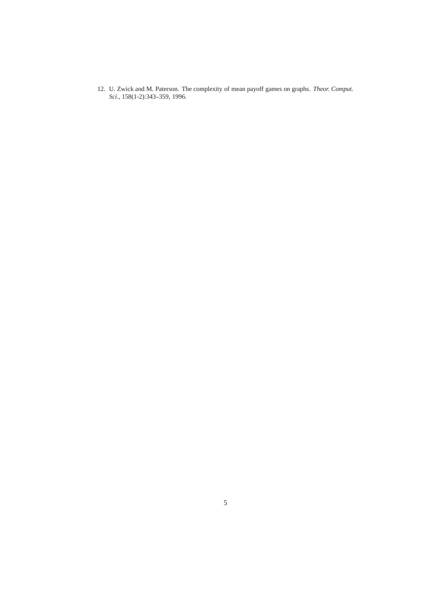12. U. Zwick and M. Paterson. The complexity of mean payoff games on graphs. *Theor. Comput. Sci.*, 158(1-2):343–359, 1996.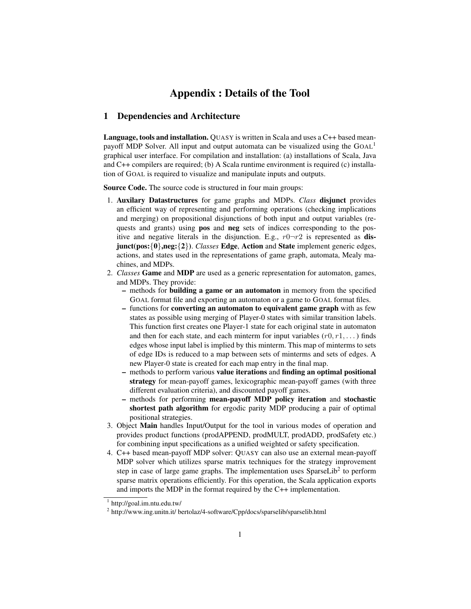## Appendix : Details of the Tool

#### 1 Dependencies and Architecture

Language, tools and installation. QUASY is written in Scala and uses a C++ based meanpayoff MDP Solver. All input and output automata can be visualized using the GOAL<sup>1</sup> graphical user interface. For compilation and installation: (a) installations of Scala, Java and C++ compilers are required; (b) A Scala runtime environment is required (c) installation of GOAL is required to visualize and manipulate inputs and outputs.

Source Code. The source code is structured in four main groups:

- 1. Auxilary Datastructures for game graphs and MDPs. *Class* disjunct provides an efficient way of representing and performing operations (checking implications and merging) on propositional disjunctions of both input and output variables (requests and grants) using pos and neg sets of indices corresponding to the positive and negative literals in the disjunction. E.g.,  $r0-r2$  is represented as disjunct(pos:{0},neg:{2}). *Classes* Edge, Action and State implement generic edges, actions, and states used in the representations of game graph, automata, Mealy machines, and MDPs.
- 2. *Classes* Game and MDP are used as a generic representation for automaton, games, and MDPs. They provide:
	- methods for building a game or an automaton in memory from the specified GOAL format file and exporting an automaton or a game to GOAL format files.
	- functions for converting an automaton to equivalent game graph with as few states as possible using merging of Player-0 states with similar transition labels. This function first creates one Player-1 state for each original state in automaton and then for each state, and each minterm for input variables  $(r0, r1, \dots)$  finds edges whose input label is implied by this minterm. This map of minterms to sets of edge IDs is reduced to a map between sets of minterms and sets of edges. A new Player-0 state is created for each map entry in the final map.
	- methods to perform various value iterations and finding an optimal positional strategy for mean-payoff games, lexicographic mean-payoff games (with three different evaluation criteria), and discounted payoff games.
	- methods for performing mean-payoff MDP policy iteration and stochastic shortest path algorithm for ergodic parity MDP producing a pair of optimal positional strategies.
- 3. Object Main handles Input/Output for the tool in various modes of operation and provides product functions (prodAPPEND, prodMULT, prodADD, prodSafety etc.) for combining input specifications as a unified weighted or safety specification.
- 4. C++ based mean-payoff MDP solver: QUASY can also use an external mean-payoff MDP solver which utilizes sparse matrix techniques for the strategy improvement step in case of large game graphs. The implementation uses SparseLib<sup>2</sup> to perform sparse matrix operations efficiently. For this operation, the Scala application exports and imports the MDP in the format required by the C++ implementation.

<sup>1</sup> http://goal.im.ntu.edu.tw/

<sup>&</sup>lt;sup>2</sup> http://www.ing.unitn.it/ bertolaz/4-software/Cpp/docs/sparselib/sparselib.html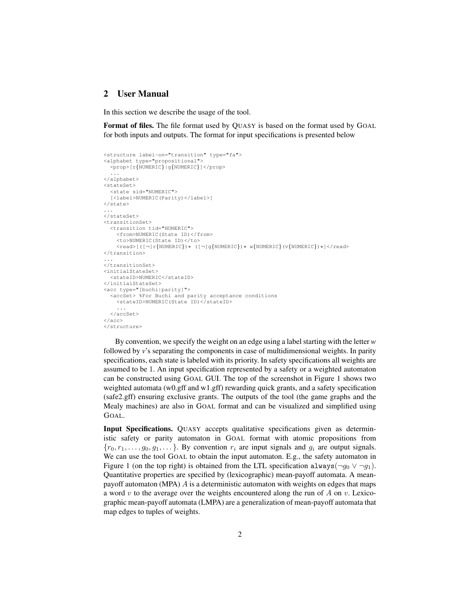## 2 User Manual

In this section we describe the usage of the tool.

Format of files. The file format used by QUASY is based on the format used by GOAL for both inputs and outputs. The format for input specifications is presented below

```
<structure label-on="transition" type="fa">
<alphabet type="propositional">
  <prop>[r{NUMERIC}|g{NUMERIC}]</prop>
  ...
</alphabet>
<stateSet>
  <state sid="NUMERIC">
  [<label>NUMERIC(Parity)</label>]
</state>
...
</stateSet>
<transitionSet>
  <transition tid="NUMERIC">
    <from>NUMERIC(State ID)</from>
    <to>NUMERIC(State ID)</to>
    <read>[([¬]r{NUMERIC})∗ ([¬]g{NUMERIC})∗ w{NUMERIC}(v{NUMERIC})∗]</read>
</transition>
...
</transitionSet>
<initialStateSet>
  <stateID>NUMERIC</stateID>
</initialStateSet>
<acc type="[buchi|parity]">
  <accSet> %For Buchi and parity acceptance conditions
    <stateID>NUMERIC(State ID)</stateID>
    ...
  </accSet>
</acc>
</structure>
```
By convention, we specify the weight on an edge using a label starting with the letter *w* followed by *v*'s separating the components in case of multidimensional weights. In parity specifications, each state is labeled with its priority. In safety specifications all weights are assumed to be 1. An input specification represented by a safety or a weighted automaton can be constructed using GOAL GUI. The top of the screenshot in Figure 1 shows two weighted automata (w0.gff and w1.gff) rewarding quick grants, and a safety specification (safe2.gff) ensuring exclusive grants. The outputs of the tool (the game graphs and the Mealy machines) are also in GOAL format and can be visualized and simplified using GOAL.

Input Specifications. QUASY accepts qualitative specifications given as deterministic safety or parity automaton in GOAL format with atomic propositions from  ${r_0, r_1, \ldots, g_0, g_1, \ldots}$ . By convention  $r_i$  are input signals and  $g_i$  are output signals. We can use the tool GOAL to obtain the input automaton. E.g., the safety automaton in Figure 1 (on the top right) is obtained from the LTL specification always( $\neg g_0 \vee \neg g_1$ ). Quantitative properties are specified by (lexicographic) mean-payoff automata. A meanpayoff automaton (MPA)  $\ddot{A}$  is a deterministic automaton with weights on edges that maps a word v to the average over the weights encountered along the run of A on v. Lexicographic mean-payoff automata (LMPA) are a generalization of mean-payoff automata that map edges to tuples of weights.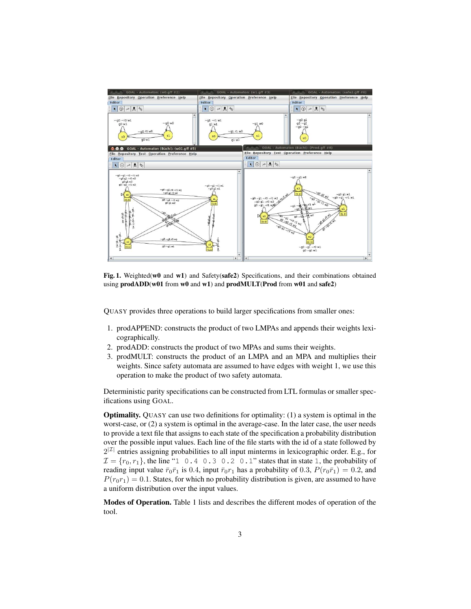

Fig. 1. Weighted(w0 and w1) and Safety(safe2) Specifications, and their combinations obtained using prodADD(w01 from w0 and w1) and prodMULT(Prod from w01 and safe2)

QUASY provides three operations to build larger specifications from smaller ones:

- 1. prodAPPEND: constructs the product of two LMPAs and appends their weights lexicographically.
- 2. prodADD: constructs the product of two MPAs and sums their weights.
- 3. prodMULT: constructs the product of an LMPA and an MPA and multiplies their weights. Since safety automata are assumed to have edges with weight 1, we use this operation to make the product of two safety automata.

Deterministic parity specifications can be constructed from LTL formulas or smaller specifications using GOAL.

Optimality. QUASY can use two definitions for optimality: (1) a system is optimal in the worst-case, or (2) a system is optimal in the average-case. In the later case, the user needs to provide a text file that assigns to each state of the specification a probability distribution over the possible input values. Each line of the file starts with the id of a state followed by  $2^{|Z|}$  entries assigning probabilities to all input minterms in lexicographic order. E.g., for  $\mathcal{I} = \{r_0, r_1\}$ , the line "1 0.4 0.3 0.2 0.1" states that in state 1, the probability of reading input value  $\bar{r}_0\bar{r}_1$  is 0.4, input  $\bar{r}_0r_1$  has a probability of 0.3,  $P(r_0\bar{r}_1) = 0.2$ , and  $P(r_0r_1) = 0.1$ . States, for which no probability distribution is given, are assumed to have a uniform distribution over the input values.

Modes of Operation. Table 1 lists and describes the different modes of operation of the tool.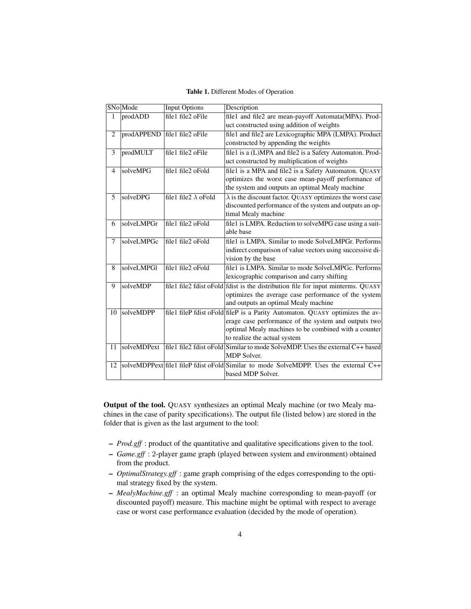#### Table 1. Different Modes of Operation

|                | SNo Mode    | <b>Input Options</b>         | Description                                                                                         |
|----------------|-------------|------------------------------|-----------------------------------------------------------------------------------------------------|
| $\mathbf{1}$   | prodADD     | file1 file2 oFile            | file1 and file2 are mean-payoff Automata(MPA). Prod-                                                |
|                |             |                              | uct constructed using addition of weights                                                           |
| $\overline{2}$ |             | prodAPPEND file1 file2 oFile | file1 and file2 are Lexicographic MPA (LMPA). Product                                               |
|                |             |                              | constructed by appending the weights                                                                |
| 3              | prodMULT    | file1 file2 oFile            | file1 is a (L)MPA and file2 is a Safety Automaton. Prod-                                            |
|                |             |                              | uct constructed by multiplication of weights                                                        |
| $\overline{4}$ | solveMPG    | file1 file2 oFold            | file1 is a MPA and file2 is a Safety Automaton. QUASY                                               |
|                |             |                              | optimizes the worst case mean-payoff performance of                                                 |
|                |             |                              | the system and outputs an optimal Mealy machine                                                     |
| 5              | solveDPG    | file1 file2 $\lambda$ oFold  | $\lambda$ is the discount factor. QUASY optimizes the worst case                                    |
|                |             |                              | discounted performance of the system and outputs an op-                                             |
|                |             |                              | timal Mealy machine                                                                                 |
| 6              | solveLMPGr  | file1 file2 oFold            | file1 is LMPA. Reduction to solveMPG case using a suit-                                             |
|                |             |                              | able base                                                                                           |
| $\tau$         | solveLMPGc  | file1 file2 oFold            | file1 is LMPA. Similar to mode SolveLMPGr. Performs                                                 |
|                |             |                              | indirect comparison of value vectors using successive di-                                           |
|                |             |                              | vision by the base                                                                                  |
| 8              | solveLMPGl  | file1 file2 oFold            | file1 is LMPA. Similar to mode SolveLMPGc. Performs                                                 |
|                |             |                              | lexicographic comparison and carry shifting                                                         |
| 9              | solveMDP    |                              | file1 file2 fdist oFold fdist is the distribution file for input minterms. QUASY                    |
|                |             |                              | optimizes the average case performance of the system                                                |
|                |             |                              | and outputs an optimal Mealy machine                                                                |
| 10             | solveMDPP   |                              | file1 fileP fdist oFold fileP is a Parity Automaton. QUASY optimizes the av-                        |
|                |             |                              | erage case performance of the system and outputs two                                                |
|                |             |                              | optimal Mealy machines to be combined with a counter                                                |
|                |             |                              | to realize the actual system                                                                        |
| 11             | solveMDPext |                              | file1 file2 fdist oFold Similar to mode SolveMDP. Uses the external C++ based<br><b>MDP</b> Solver. |
| 12             |             |                              | solveMDPPext file1 fileP fdist oFold Similar to mode SolveMDPP. Uses the external C++               |
|                |             |                              | based MDP Solver.                                                                                   |

Output of the tool. QUASY synthesizes an optimal Mealy machine (or two Mealy machines in the case of parity specifications). The output file (listed below) are stored in the folder that is given as the last argument to the tool:

- *Prod.gff* : product of the quantitative and qualitative specifications given to the tool.
- *Game.gff* : 2-player game graph (played between system and environment) obtained from the product.
- *OptimalStrategy.gff* : game graph comprising of the edges corresponding to the optimal strategy fixed by the system.
- *MealyMachine.gff* : an optimal Mealy machine corresponding to mean-payoff (or discounted payoff) measure. This machine might be optimal with respect to average case or worst case performance evaluation (decided by the mode of operation).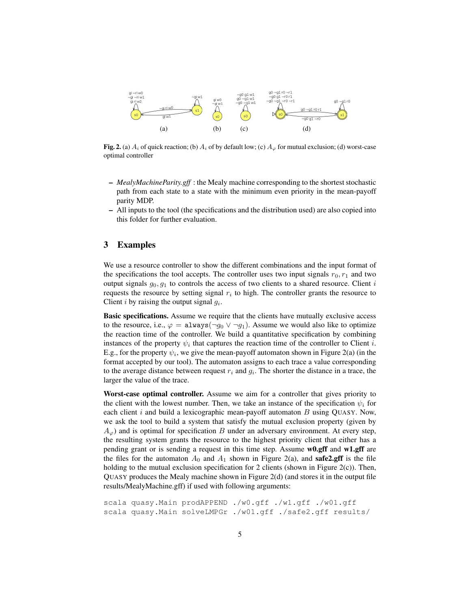

Fig. 2. (a)  $A_i$  of quick reaction; (b)  $A_i$  of by default low; (c)  $A_\varphi$  for mutual exclusion; (d) worst-case optimal controller

- *MealyMachineParity.gff* : the Mealy machine corresponding to the shortest stochastic path from each state to a state with the minimum even priority in the mean-payoff parity MDP.
- All inputs to the tool (the specifications and the distribution used) are also copied into this folder for further evaluation.

### 3 Examples

We use a resource controller to show the different combinations and the input format of the specifications the tool accepts. The controller uses two input signals  $r_0, r_1$  and two output signals  $g_0, g_1$  to controls the access of two clients to a shared resource. Client i requests the resource by setting signal  $r_i$  to high. The controller grants the resource to Client *i* by raising the output signal  $g_i$ .

Basic specifications. Assume we require that the clients have mutually exclusive access to the resource, i.e.,  $\varphi = \text{always}(\neg g_0 \lor \neg g_1)$ . Assume we would also like to optimize the reaction time of the controller. We build a quantitative specification by combining instances of the property  $\psi_i$  that captures the reaction time of the controller to Client *i*. E.g., for the property  $\psi_i$ , we give the mean-payoff automaton shown in Figure 2(a) (in the format accepted by our tool). The automaton assigns to each trace a value corresponding to the average distance between request  $r_i$  and  $g_i$ . The shorter the distance in a trace, the larger the value of the trace.

Worst-case optimal controller. Assume we aim for a controller that gives priority to the client with the lowest number. Then, we take an instance of the specification  $\psi_i$  for each client  $i$  and build a lexicographic mean-payoff automaton  $B$  using QUASY. Now, we ask the tool to build a system that satisfy the mutual exclusion property (given by  $A_{\varphi}$ ) and is optimal for specification B under an adversary environment. At every step, the resulting system grants the resource to the highest priority client that either has a pending grant or is sending a request in this time step. Assume w0.gff and w1.gff are the files for the automaton  $A_0$  and  $A_1$  shown in Figure 2(a), and **safe2.gff** is the file holding to the mutual exclusion specification for 2 clients (shown in Figure 2(c)). Then, QUASY produces the Mealy machine shown in Figure 2(d) (and stores it in the output file results/MealyMachine.gff) if used with following arguments:

```
scala quasy.Main prodAPPEND ./w0.gff ./w1.gff ./w01.gff
scala quasy.Main solveLMPGr ./w01.gff ./safe2.gff results/
```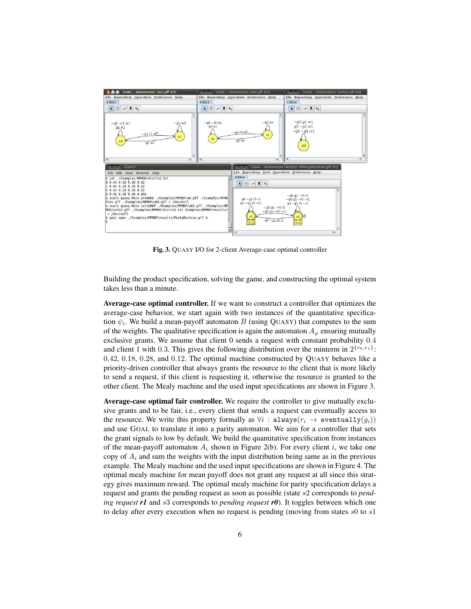

Fig. 3. QUASY I/O for 2-client Average-case optimal controller

Building the product specification, solving the game, and constructing the optimal system takes less than a minute.

Average-case optimal controller. If we want to construct a controller that optimizes the average-case behavior, we start again with two instances of the quantitative specification  $\psi_i$ . We build a mean-payoff automaton B (using QUASY) that computes to the sum of the weights. The qualitative specification is again the automaton  $A_{\omega}$  ensuring mutually exclusive grants. We assume that client 0 sends a request with constant probability 0.4 and client 1 with 0.3. This gives the following distribution over the minterm in  $2^{\{r_0, r_1\}}$ : 0.42, 0.18, 0.28, and 0.12. The optimal machine constructed by QUASY behaves like a priority-driven controller that always grants the resource to the client that is more likely to send a request, if this client is requesting it, otherwise the resource is granted to the other client. The Mealy machine and the used input specifications are shown in Figure 3.

Average-case optimal fair controller. We require the controller to give mutually exclusive grants and to be fair, i.e., every client that sends a request can eventually access to the resource. We write this property formally as  $\forall i : \text{always}(r_i \rightarrow \text{eventually}(q_i))$ and use GOAL to translate it into a parity automaton. We aim for a controller that sets the grant signals to low by default. We build the quantitative specification from instances of the mean-payoff automaton  $A_i$  shown in Figure 2(b). For every client i, we take one copy of  $A_i$  and sum the weights with the input distribution being same as in the previous example. The Mealy machine and the used input specifications are shown in Figure 4. The optimal mealy machine for mean payoff does not grant any request at all since this strategy gives maximum reward. The optimal mealy machine for parity specification delays a request and grants the pending request as soon as possible (state s2 corresponds to *pending request r1* and *s3* corresponds to *pending request r0*). It toggles between which one to delay after every execution when no request is pending (moving from states  $s0$  to  $s1$